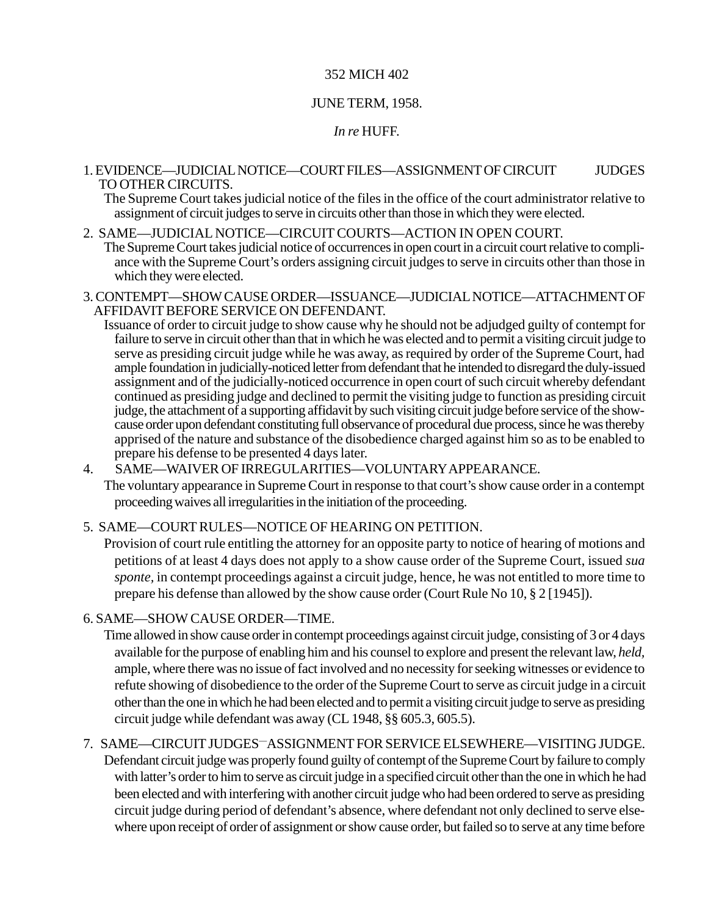### 352 MICH 402

### JUNE TERM, 1958.

### *In re* HUFF.

#### 1. EVIDENCE—JUDICIAL NOTICE—COURT FILES—ASSIGNMENT OF CIRCUIT JUDGES TO OTHER CIRCUITS.

The Supreme Court takes judicial notice of the files in the office of the court administrator relative to assignment of circuit judges to serve in circuits other than those in which they were elected.

#### 2. SAME—JUDICIAL NOTICE—CIRCUIT COURTS—ACTION IN OPEN COURT.

The Supreme Court takes judicial notice of occurrences in open court in a circuit court relative to compliance with the Supreme Court's orders assigning circuit judges to serve in circuits other than those in which they were elected.

- 3. CONTEMPT—SHOW CAUSE ORDER—ISSUANCE—JUDICIAL NOTICE—ATTACHMENT OF AFFIDAVIT BEFORE SERVICE ON DEFENDANT.
	- Issuance of order to circuit judge to show cause why he should not be adjudged guilty of contempt for failure to serve in circuit other than that in which he was elected and to permit a visiting circuit judge to serve as presiding circuit judge while he was away, as required by order of the Supreme Court, had ample foundation in judicially-noticed letter from defendant that he intended to disregard the duly-issued assignment and of the judicially-noticed occurrence in open court of such circuit whereby defendant continued as presiding judge and declined to permit the visiting judge to function as presiding circuit judge, the attachment of a supporting affidavit by such visiting circuit judge before service of the showcause order upon defendant constituting full observance of procedural due process, since he was thereby apprised of the nature and substance of the disobedience charged against him so as to be enabled to prepare his defense to be presented 4 days later.
- 4. SAME—WAIVER OF IRREGULARITIES—VOLUNTARY APPEARANCE.

The voluntary appearance in Supreme Court in response to that court's show cause order in a contempt proceeding waives all irregularities in the initiation of the proceeding.

#### 5. SAME—COURT RULES—NOTICE OF HEARING ON PETITION.

Provision of court rule entitling the attorney for an opposite party to notice of hearing of motions and petitions of at least 4 days does not apply to a show cause order of the Supreme Court, issued *sua sponte,* in contempt proceedings against a circuit judge, hence, he was not entitled to more time to prepare his defense than allowed by the show cause order (Court Rule No 10, § 2 [1945]).

### 6. SAME—SHOW CAUSE ORDER—TIME.

Time allowed in show cause order in contempt proceedings against circuit judge, consisting of 3 or 4 days available for the purpose of enabling him and his counsel to explore and present the relevant law, *held,* ample, where there was no issue of fact involved and no necessity for seeking witnesses or evidence to refute showing of disobedience to the order of the Supreme Court to serve as circuit judge in a circuit other than the one in which he had been elected and to permit a visiting circuit judge to serve as presiding circuit judge while defendant was away (CL 1948, §§ 605.3, 605.5).

### 7. SAME—CIRCUIT JUDGES—ASSIGNMENT FOR SERVICE ELSEWHERE—VISITING JUDGE.

Defendant circuit judge was properly found guilty of contempt of the Supreme Court by failure to comply with latter's order to him to serve as circuit judge in a specified circuit other than the one in which he had been elected and with interfering with another circuit judge who had been ordered to serve as presiding circuit judge during period of defendant's absence, where defendant not only declined to serve elsewhere upon receipt of order of assignment or show cause order, but failed so to serve at any time before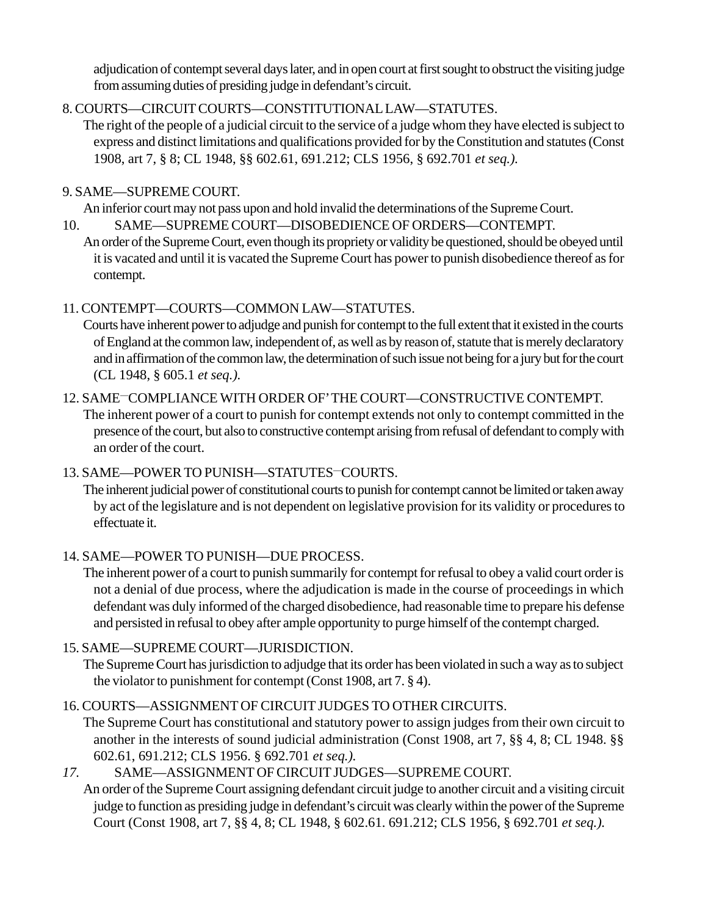adjudication of contempt several days later, and in open court at first sought to obstruct the visiting judge from assuming duties of presiding judge in defendant's circuit.

# 8. COURTS—CIRCUIT COURTS—CONSTITUTIONAL LAW—STATUTES.

The right of the people of a judicial circuit to the service of a judge whom they have elected is subject to express and distinct limitations and qualifications provided for by the Constitution and statutes (Const 1908, art 7, § 8; CL 1948, §§ 602.61, 691.212; CLS 1956, § 692.701 *et seq.).*

# 9. SAME—SUPREME COURT.

An inferior court may not pass upon and hold invalid the determinations of the Supreme Court.

10. SAME—SUPREME COURT—DISOBEDIENCE OF ORDERS—CONTEMPT. An order of the Supreme Court, even though its propriety or validity be questioned, should be obeyed until it is vacated and until it is vacated the Supreme Court has power to punish disobedience thereof as for contempt.

# 11. CONTEMPT—COURTS—COMMON LAW—STATUTES.

Courts have inherent power to adjudge and punish for contempt to the full extent that it existed in the courts of England at the common law, independent of, as well as by reason of, statute that is merely declaratory and in affirmation of the common law, the determination of such issue not being for a jury but for the court (CL 1948, § 605.1 *et seq.).*

#### 12. SAME—COMPLIANCE WITH ORDER OF' THE COURT—CONSTRUCTIVE CONTEMPT. The inherent power of a court to punish for contempt extends not only to contempt committed in the

presence of the court, but also to constructive contempt arising from refusal of defendant to comply with an order of the court.

# 13. SAME—POWER TO PUNISH—STATUTES—COURTS.

The inherent judicial power of constitutional courts to punish for contempt cannot be limited or taken away by act of the legislature and is not dependent on legislative provision for its validity or procedures to effectuate it.

# 14. SAME—POWER TO PUNISH—DUE PROCESS.

The inherent power of a court to punish summarily for contempt for refusal to obey a valid court order is not a denial of due process, where the adjudication is made in the course of proceedings in which defendant was duly informed of the charged disobedience, had reasonable time to prepare his defense and persisted in refusal to obey after ample opportunity to purge himself of the contempt charged.

# 15. SAME—SUPREME COURT—JURISDICTION.

The Supreme Court has jurisdiction to adjudge that its order has been violated in such a way as to subject the violator to punishment for contempt (Const 1908, art 7. § 4).

# 16. COURTS—ASSIGNMENT OF CIRCUIT JUDGES TO OTHER CIRCUITS.

The Supreme Court has constitutional and statutory power to assign judges from their own circuit to another in the interests of sound judicial administration (Const 1908, art 7, §§ 4, 8; CL 1948. §§ 602.61, 691.212; CLS 1956. § 692.701 *et seq.).*

# *17.* SAME—ASSIGNMENT OF CIRCUIT JUDGES—SUPREME COURT.

An order of the Supreme Court assigning defendant circuit judge to another circuit and a visiting circuit judge to function as presiding judge in defendant's circuit was clearly within the power of the Supreme Court (Const 1908, art 7, §§ 4, 8; CL 1948, § 602.61. 691.212; CLS 1956, § 692.701 *et seq.).*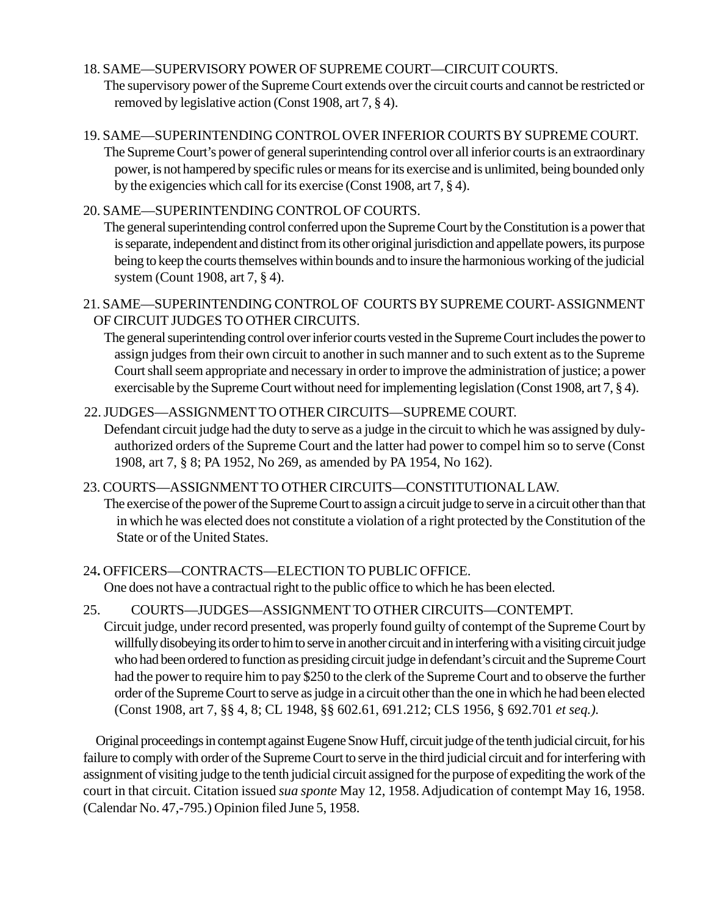## 18. SAME—SUPERVISORY POWER OF SUPREME COURT—CIRCUIT COURTS.

The supervisory power of the Supreme Court extends over the circuit courts and cannot be restricted or removed by legislative action (Const 1908, art 7, § 4).

## 19. SAME—SUPERINTENDING CONTROL OVER INFERIOR COURTS BY SUPREME COURT.

The Supreme Court's power of general superintending control over all inferior courts is an extraordinary power, is not hampered by specific rules or means for its exercise and is unlimited, being bounded only by the exigencies which call for its exercise (Const 1908, art 7, § 4).

## 20. SAME—SUPERINTENDING CONTROL OF COURTS.

The general superintending control conferred upon the Supreme Court by the Constitution is a power that is separate, independent and distinct from its other original jurisdiction and appellate powers, its purpose being to keep the courts themselves within bounds and to insure the harmonious working of the judicial system (Count 1908, art 7, § 4).

## 21. SAME—SUPERINTENDING CONTROL OF COURTS BY SUPREME COURT- ASSIGNMENT OF CIRCUIT JUDGES TO OTHER CIRCUITS.

The general superintending control over inferior courts vested in the Supreme Court includes the power to assign judges from their own circuit to another in such manner and to such extent as to the Supreme Court shall seem appropriate and necessary in order to improve the administration of justice; a power exercisable by the Supreme Court without need for implementing legislation (Const 1908, art 7, § 4).

# 22. JUDGES—ASSIGNMENT TO OTHER CIRCUITS—SUPREME COURT.

Defendant circuit judge had the duty to serve as a judge in the circuit to which he was assigned by dulyauthorized orders of the Supreme Court and the latter had power to compel him so to serve (Const 1908, art 7, § 8; PA 1952, No 269, as amended by PA 1954, No 162).

## 23. COURTS—ASSIGNMENT TO OTHER CIRCUITS—CONSTITUTIONAL LAW.

The exercise of the power of the Supreme Court to assign a circuit judge to serve in a circuit other than that in which he was elected does not constitute a violation of a right protected by the Constitution of the State or of the United States.

# 24**.** OFFICERS—CONTRACTS—ELECTION TO PUBLIC OFFICE.

One does not have a contractual right to the public office to which he has been elected.

### 25. COURTS—JUDGES—ASSIGNMENT TO OTHER CIRCUITS—CONTEMPT.

Circuit judge, under record presented, was properly found guilty of contempt of the Supreme Court by willfully disobeying its order to him to serve in another circuit and in interfering with a visiting circuit judge who had been ordered to function as presiding circuit judge in defendant's circuit and the Supreme Court had the power to require him to pay \$250 to the clerk of the Supreme Court and to observe the further order of the Supreme Court to serve as judge in a circuit other than the one in which he had been elected (Const 1908, art 7, §§ 4, 8; CL 1948, §§ 602.61, 691.212; CLS 1956, § 692.701 *et seq.).*

Original proceedings in contempt against Eugene Snow Huff, circuit judge of the tenth judicial circuit, for his failure to comply with order of the Supreme Court to serve in the third judicial circuit and for interfering with assignment of visiting judge to the tenth judicial circuit assigned for the purpose of expediting the work of the court in that circuit. Citation issued *sua sponte* May 12, 1958. Adjudication of contempt May 16, 1958. (Calendar No. 47,-795.) Opinion filed June 5, 1958.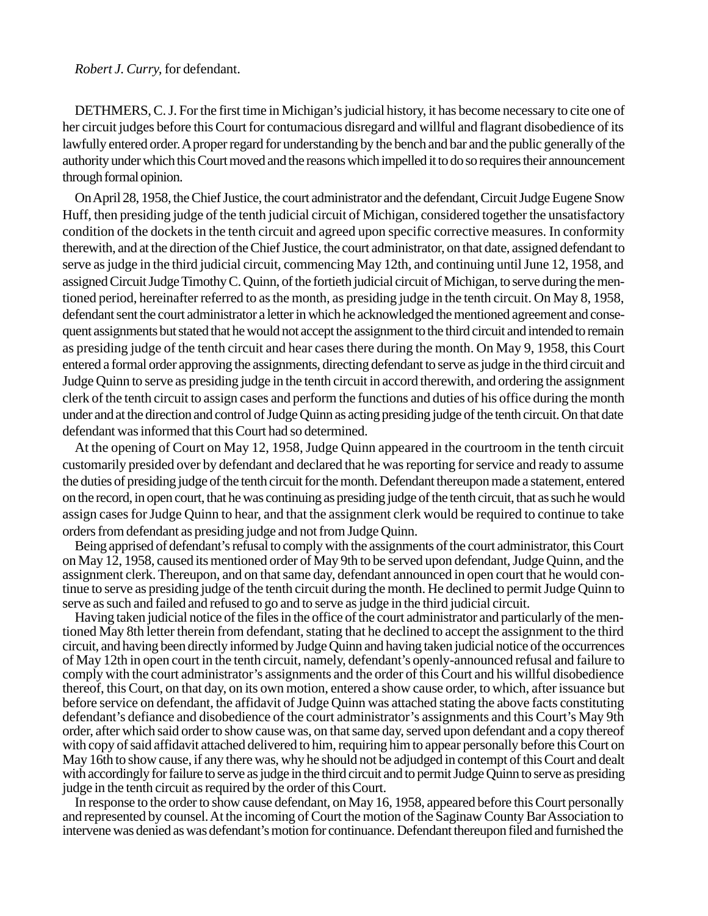## *Robert J. Curry,* for defendant.

DETHMERS, C. J. For the first time in Michigan's judicial history, it has become necessary to cite one of her circuit judges before this Court for contumacious disregard and willful and flagrant disobedience of its lawfully entered order. A proper regard for understanding by the bench and bar and the public generally of the authority under which this Court moved and the reasons which impelled it to do so requires their announcement through formal opinion.

On April 28, 1958, the Chief Justice, the court administrator and the defendant, Circuit Judge Eugene Snow Huff, then presiding judge of the tenth judicial circuit of Michigan, considered together the unsatisfactory condition of the dockets in the tenth circuit and agreed upon specific corrective measures. In conformity therewith, and at the direction of the Chief Justice, the court administrator, on that date, assigned defendant to serve as judge in the third judicial circuit, commencing May 12th, and continuing until June 12, 1958, and assigned Circuit Judge Timothy C. Quinn, of the fortieth judicial circuit of Michigan, to serve during the mentioned period, hereinafter referred to as the month, as presiding judge in the tenth circuit. On May 8, 1958, defendant sent the court administrator a letter in which he acknowledged the mentioned agreement and consequent assignments but stated that he would not accept the assignment to the third circuit and intended to remain as presiding judge of the tenth circuit and hear cases there during the month. On May 9, 1958, this Court entered a formal order approving the assignments, directing defendant to serve as judge in the third circuit and Judge Quinn to serve as presiding judge in the tenth circuit in accord therewith, and ordering the assignment clerk of the tenth circuit to assign cases and perform the functions and duties of his office during the month under and at the direction and control of Judge Quinn as acting presiding judge of the tenth circuit. On that date defendant was informed that this Court had so determined.

At the opening of Court on May 12, 1958, Judge Quinn appeared in the courtroom in the tenth circuit customarily presided over by defendant and declared that he was reporting for service and ready to assume the duties of presiding judge of the tenth circuit for the month. Defendant thereupon made a statement, entered on the record, in open court, that he was continuing as presiding judge of the tenth circuit, that as such he would assign cases for Judge Quinn to hear, and that the assignment clerk would be required to continue to take orders from defendant as presiding judge and not from Judge Quinn.

Being apprised of defendant's refusal to comply with the assignments of the court administrator, this Court on May 12, 1958, caused its mentioned order of May 9th to be served upon defendant, Judge Quinn, and the assignment clerk. Thereupon, and on that same day, defendant announced in open court that he would continue to serve as presiding judge of the tenth circuit during the month. He declined to permit Judge Quinn to serve as such and failed and refused to go and to serve as judge in the third judicial circuit.

Having taken judicial notice of the files in the office of the court administrator and particularly of the mentioned May 8th letter therein from defendant, stating that he declined to accept the assignment to the third circuit, and having been directly informed by Judge Quinn and having taken judicial notice of the occurrences of May 12th in open court in the tenth circuit, namely, defendant's openly-announced refusal and failure to comply with the court administrator's assignments and the order of this Court and his willful disobedience thereof, this Court, on that day, on its own motion, entered a show cause order, to which, after issuance but before service on defendant, the affidavit of Judge Quinn was attached stating the above facts constituting defendant's defiance and disobedience of the court administrator's assignments and this Court's May 9th order, after which said order to show cause was, on that same day, served upon defendant and a copy thereof with copy of said affidavit attached delivered to him, requiring him to appear personally before this Court on May 16th to show cause, if any there was, why he should not be adjudged in contempt of this Court and dealt with accordingly for failure to serve as judge in the third circuit and to permit Judge Quinn to serve as presiding judge in the tenth circuit as required by the order of this Court.

In response to the order to show cause defendant, on May 16, 1958, appeared before this Court personally and represented by counsel. At the incoming of Court the motion of the Saginaw County Bar Association to intervene was denied as was defendant's motion for continuance. Defendant thereupon filed and furnished the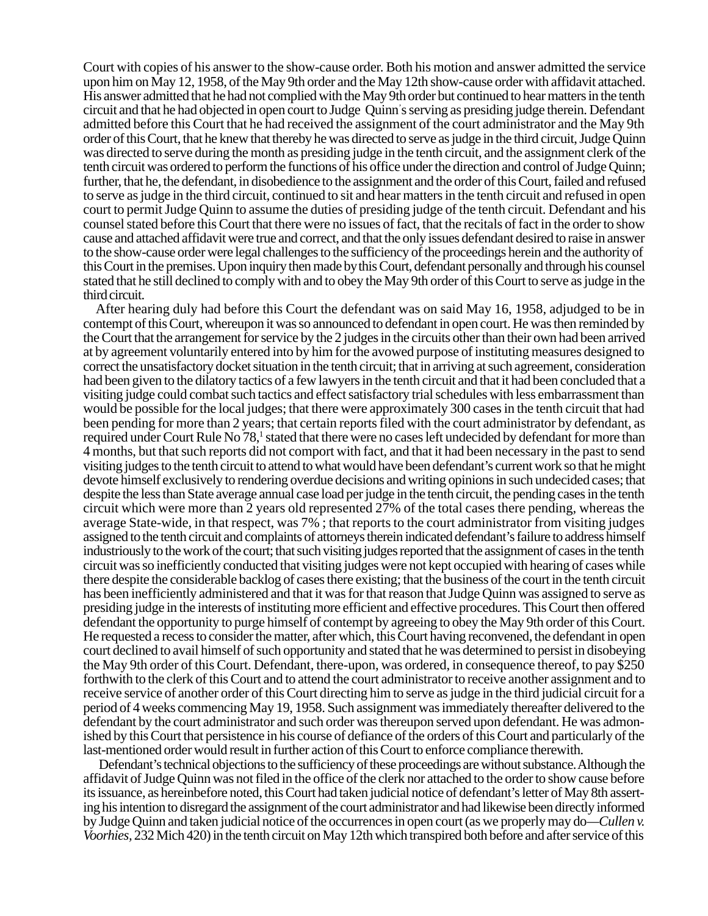Court with copies of his answer to the show-cause order. Both his motion and answer admitted the service upon him on May 12, 1958, of the May 9th order and the May 12th show-cause order with affidavit attached. His answer admitted that he had not complied with the May 9th order but continued to hear matters in the tenth circuit and that he had objected in open court to Judge Quinn' s serving as presiding judge therein. Defendant admitted before this Court that he had received the assignment of the court administrator and the May 9th order of this Court, that he knew that thereby he was directed to serve as judge in the third circuit, Judge Quinn was directed to serve during the month as presiding judge in the tenth circuit, and the assignment clerk of the tenth circuit was ordered to perform the functions of his office under the direction and control of Judge Quinn; further, that he, the defendant, in disobedience to the assignment and the order of this Court, failed and refused to serve as judge in the third circuit, continued to sit and hear matters in the tenth circuit and refused in open court to permit Judge Quinn to assume the duties of presiding judge of the tenth circuit. Defendant and his counsel stated before this Court that there were no issues of fact, that the recitals of fact in the order to show cause and attached affidavit were true and correct, and that the only issues defendant desired to raise in answer to the show-cause order were legal challenges to the sufficiency of the proceedings herein and the authority of this Court in the premises. Upon inquiry then made bythis Court, defendant personally and through his counsel stated that he still declined to comply with and to obey the May 9th order of this Court to serve as judge in the third circuit.

After hearing duly had before this Court the defendant was on said May 16, 1958, adjudged to be in contempt of this Court, whereupon it was so announced to defendant in open court. He was then reminded by the Court that the arrangement for service by the 2 judges in the circuits other than their own had been arrived at by agreement voluntarily entered into by him for the avowed purpose of instituting measures designed to correct the unsatisfactory docket situation in the tenth circuit; that in arriving at such agreement, consideration had been given to the dilatory tactics of a few lawyers in the tenth circuit and that it had been concluded that a visiting judge could combat such tactics and effect satisfactory trial schedules with less embarrassment than would be possible for the local judges; that there were approximately 300 cases in the tenth circuit that had been pending for more than 2 years; that certain reports filed with the court administrator by defendant, as required under Court Rule No 78,<sup>1</sup> stated that there were no cases left undecided by defendant for more than 4 months, but that such reports did not comport with fact, and that it had been necessary in the past to send visiting judges to the tenth circuit to attend to what would have been defendant's current work so that he might devote himself exclusively to rendering overdue decisions and writing opinions in such undecided cases; that despite the less than State average annual case load per judge in the tenth circuit, the pending cases in the tenth circuit which were more than 2 years old represented 27% of the total cases there pending, whereas the average State-wide, in that respect, was 7% ; that reports to the court administrator from visiting judges assigned to the tenth circuit and complaints of attorneys therein indicated defendant's failure to address himself industriously to the work of the court; that such visiting judges reported that the assignment of cases in the tenth circuit was so inefficiently conducted that visiting judges were not kept occupied with hearing of cases while there despite the considerable backlog of cases there existing; that the business of the court in the tenth circuit has been inefficiently administered and that it was for that reason that Judge Quinn was assigned to serve as presiding judge in the interests of instituting more efficient and effective procedures. This Court then offered defendant the opportunity to purge himself of contempt by agreeing to obey the May 9th order of this Court. He requested a recess to consider the matter, after which, this Court having reconvened, the defendant in open court declined to avail himself of such opportunity and stated that he was determined to persist in disobeying the May 9th order of this Court. Defendant, there-upon, was ordered, in consequence thereof, to pay \$250 forthwith to the clerk of this Court and to attend the court administrator to receive another assignment and to receive service of another order of this Court directing him to serve as judge in the third judicial circuit for a period of 4 weeks commencing May 19, 1958. Such assignment was immediately thereafter delivered to the defendant by the court administrator and such order was thereupon served upon defendant. He was admonished by this Court that persistence in his course of defiance of the orders of this Court and particularly of the last-mentioned order would result in further action of this Court to enforce compliance therewith.

Defendant's technical objections to the sufficiency of these proceedings are without substance. Although the affidavit of Judge Quinn was not filed in the office of the clerk nor attached to the order to show cause before its issuance, as hereinbefore noted, this Court had taken judicial notice of defendant's letter of May 8th asserting his intention to disregard the assignment of the court administrator and had likewise been directly informed by Judge Quinn and taken judicial notice of the occurrences in open court (as we properly may do*—Cullen v. Voorhies,* 232 Mich 420) in the tenth circuit on May 12th which transpired both before and after service of this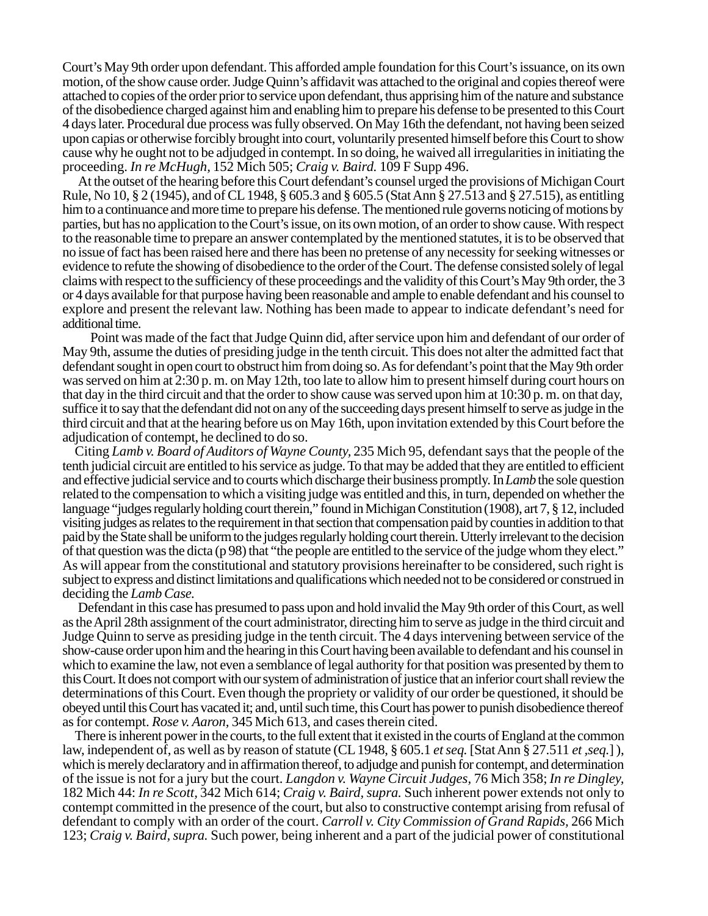Court's May 9th order upon defendant. This afforded ample foundation for this Court's issuance, on its own motion, of the show cause order. Judge Quinn's affidavit was attached to the original and copies thereof were attached to copies of the order prior to service upon defendant, thus apprising him of the nature and substance of the disobedience charged against him and enabling him to prepare his defense to be presented to this Court 4 days later. Procedural due process was fully observed. On May 16th the defendant, not having been seized upon capias or otherwise forcibly brought into court, voluntarily presented himself before this Court to show cause why he ought not to be adjudged in contempt. In so doing, he waived all irregularities in initiating the proceeding. *In re McHugh,* 152 Mich 505; *Craig v. Baird.* 109 F Supp 496.

At the outset of the hearing before this Court defendant's counsel urged the provisions of Michigan Court Rule, No 10, § 2 (1945), and of CL 1948, § 605.3 and § 605.5 (Stat Ann § 27.513 and § 27.515), as entitling him to a continuance and more time to prepare his defense. The mentioned rule governs noticing of motions by parties, but has no application to the Court's issue, on its own motion, of an order to show cause. With respect to the reasonable time to prepare an answer contemplated by the mentioned statutes, it is to be observed that no issue of fact has been raised here and there has been no pretense of any necessity for seeking witnesses or evidence to refute the showing of disobedience to the order of the Court. The defense consisted solely of legal claims with respect to the sufficiency of these proceedings and the validity of this Court's May 9th order, the 3 or 4 days available for that purpose having been reasonable and ample to enable defendant and his counsel to explore and present the relevant law. Nothing has been made to appear to indicate defendant's need for additional time.

 Point was made of the fact that Judge Quinn did, after service upon him and defendant of our order of May 9th, assume the duties of presiding judge in the tenth circuit. This does not alter the admitted fact that defendant sought in open court to obstruct him from doing so. As for defendant's point that the May 9th order was served on him at 2:30 p. m. on May 12th, too late to allow him to present himself during court hours on that day in the third circuit and that the order to show cause was served upon him at 10:30 p. m. on that day, suffice it to say that the defendant did not on any of the succeeding days present himself to serve as judge in the third circuit and that at the hearing before us on May 16th, upon invitation extended by this Court before the adjudication of contempt, he declined to do so.

Citing *Lamb v. Board of Auditors of Wayne County,* 235 Mich 95, defendant says that the people of the tenth judicial circuit are entitled to his service as judge. To that may be added that they are entitled to efficient and effective judicial service and to courts which discharge their business promptly. In *Lamb* the sole question related to the compensation to which a visiting judge was entitled and this, in turn, depended on whether the language "judges regularly holding court therein," found in Michigan Constitution (1908), art 7, § 12, included visiting judges as relates to the requirement in that section that compensation paid by counties in addition to that paid by the State shall be uniform to the judges regularly holding court therein. Utterly irrelevant to the decision of that question was the dicta (p 98) that "the people are entitled to the service of the judge whom they elect." As will appear from the constitutional and statutory provisions hereinafter to be considered, such right is subject to express and distinct limitations and qualifications which needed not to be considered or construed in deciding the *Lamb Case.*

Defendant in this case has presumed to pass upon and hold invalid the May 9th order of this Court, as well as the April 28th assignment of the court administrator, directing him to serve as judge in the third circuit and Judge Quinn to serve as presiding judge in the tenth circuit. The 4 days intervening between service of the show-cause order upon him and the hearing in this Court having been available to defendant and his counsel in which to examine the law, not even a semblance of legal authority for that position was presented by them to this Court. It does not comport with our system of administration of justice that an inferior court shall review the determinations of this Court. Even though the propriety or validity of our order be questioned, it should be obeyed until this Court has vacated it; and, until such time, this Court has power to punish disobedience thereof as for contempt. *Rose v. Aaron,* 345 Mich 613, and cases therein cited.

There is inherent power in the courts, to the full extent that it existed in the courts of England at the common law, independent of, as well as by reason of statute (CL 1948, § 605.1 *et seq.* [Stat Ann § 27.511 *et ,seq.*] ), which is merely declaratory and in affirmation thereof, to adjudge and punish for contempt, and determination of the issue is not for a jury but the court. *Langdon v. Wayne Circuit Judges,* 76 Mich 358; *In re Dingley,* 182 Mich 44: *In re Scott,* 342 Mich 614; *Craig v. Baird, supra.* Such inherent power extends not only to contempt committed in the presence of the court, but also to constructive contempt arising from refusal of defendant to comply with an order of the court. *Carroll v. City Commission of Grand Rapids,* 266 Mich 123; *Craig v. Baird, supra.* Such power, being inherent and a part of the judicial power of constitutional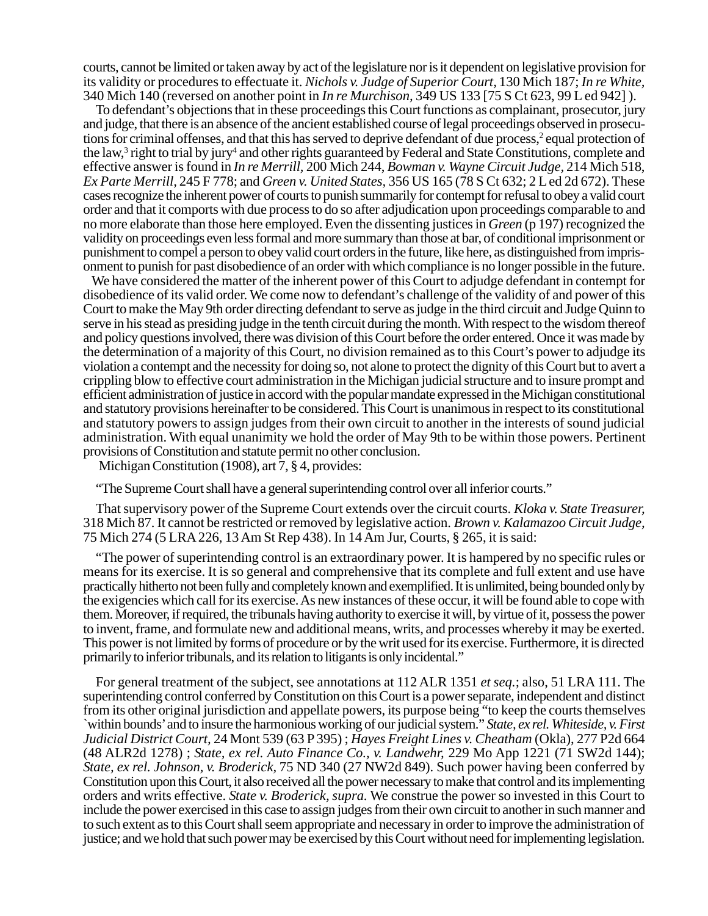courts, cannot be limited or taken away by act of the legislature nor is it dependent on legislative provision for its validity or procedures to effectuate it. *Nichols v. Judge of Superior Court,* 130 Mich 187; *In re White,* 340 Mich 140 (reversed on another point in *In re Murchison,* 349 US 133 [75 S Ct 623, 99 L ed 942] ).

To defendant's objections that in these proceedings this Court functions as complainant, prosecutor, jury and judge, that there is an absence of the ancient established course of legal proceedings observed in prosecutions for criminal offenses, and that this has served to deprive defendant of due process,<sup>2</sup> equal protection of the law,<sup>3</sup> right to trial by jury<sup>4</sup> and other rights guaranteed by Federal and State Constitutions, complete and effective answer is found in *In re Merrill,* 200 Mich 244, *Bowman v. Wayne Circuit Judge,* 214 Mich 518, *Ex Parte Merrill,* 245 F 778; and *Green v. United States,* 356 US 165 (78 S Ct 632; 2 L ed 2d 672). These cases recognize the inherent power of courts to punish summarily for contempt for refusal to obey a valid court order and that it comports with due process to do so after adjudication upon proceedings comparable to and no more elaborate than those here employed. Even the dissenting justices in *Green* (p 197) recognized the validity on proceedings even less formal and more summary than those at bar, of conditional imprisonment or punishment to compel a person to obey valid court orders in the future, like here, as distinguished from imprisonment to punish for past disobedience of an order with which compliance is no longer possible in the future.

We have considered the matter of the inherent power of this Court to adjudge defendant in contempt for disobedience of its valid order. We come now to defendant's challenge of the validity of and power of this Court to make the May 9th order directing defendant to serve as judge in the third circuit and Judge Quinn to serve in his stead as presiding judge in the tenth circuit during the month. With respect to the wisdom thereof and policy questions involved, there was division of this Court before the order entered. Once it was made by the determination of a majority of this Court, no division remained as to this Court's power to adjudge its violation a contempt and the necessity for doing so, not alone to protect the dignity of this Court but to avert a crippling blow to effective court administration in the Michigan judicial structure and to insure prompt and efficient administration of justice in accord with the popular mandate expressed in the Michigan constitutional and statutory provisions hereinafter to be considered. This Court is unanimous in respect to its constitutional and statutory powers to assign judges from their own circuit to another in the interests of sound judicial administration. With equal unanimity we hold the order of May 9th to be within those powers. Pertinent provisions of Constitution and statute permit no other conclusion.

Michigan Constitution (1908), art  $\overline{7}$ , § 4, provides:

"The Supreme Court shall have a general superintending control over all inferior courts."

That supervisory power of the Supreme Court extends over the circuit courts. *Kloka v. State Treasurer,* 318 Mich 87. It cannot be restricted or removed by legislative action. *Brown v. Kalamazoo Circuit Judge,* 75 Mich 274 (5 LRA 226, 13 Am St Rep 438). In 14 Am Jur, Courts, § 265, it is said:

"The power of superintending control is an extraordinary power. It is hampered by no specific rules or means for its exercise. It is so general and comprehensive that its complete and full extent and use have practically hitherto not been fully and completely known and exemplified. It is unlimited, being bounded only by the exigencies which call for its exercise. As new instances of these occur, it will be found able to cope with them. Moreover, if required, the tribunals having authority to exercise it will, by virtue of it, possess the power to invent, frame, and formulate new and additional means, writs, and processes whereby it may be exerted. This power is not limited by forms of procedure or by the writ used for its exercise. Furthermore, it is directed primarily to inferior tribunals, and its relation to litigants is only incidental."

For general treatment of the subject, see annotations at 112 ALR 1351 *et seq.*; also, 51 LRA 111. The superintending control conferred by Constitution on this Court is a power separate, independent and distinct from its other original jurisdiction and appellate powers, its purpose being "to keep the courts themselves `within bounds' and to insure the harmonious working of our judicial system." *State, ex rel. Whiteside, v. First Judicial District Court,* 24 Mont 539 (63 P 395) ; *Hayes Freight Lines v. Cheatham* (Okla), 277 P2d 664 (48 ALR2d 1278) ; *State, ex rel. Auto Finance Co., v. Landwehr,* 229 Mo App 1221 (71 SW2d 144); *State, ex rel. Johnson, v. Broderick,* 75 ND 340 (27 NW2d 849). Such power having been conferred by Constitution upon this Court, it also received all the power necessary to make that control and its implementing orders and writs effective. *State v. Broderick, supra.* We construe the power so invested in this Court to include the power exercised in this case to assign judges from their own circuit to another in such manner and to such extent as to this Court shall seem appropriate and necessary in order to improve the administration of justice; and we hold that such power may be exercised by this Court without need for implementing legislation.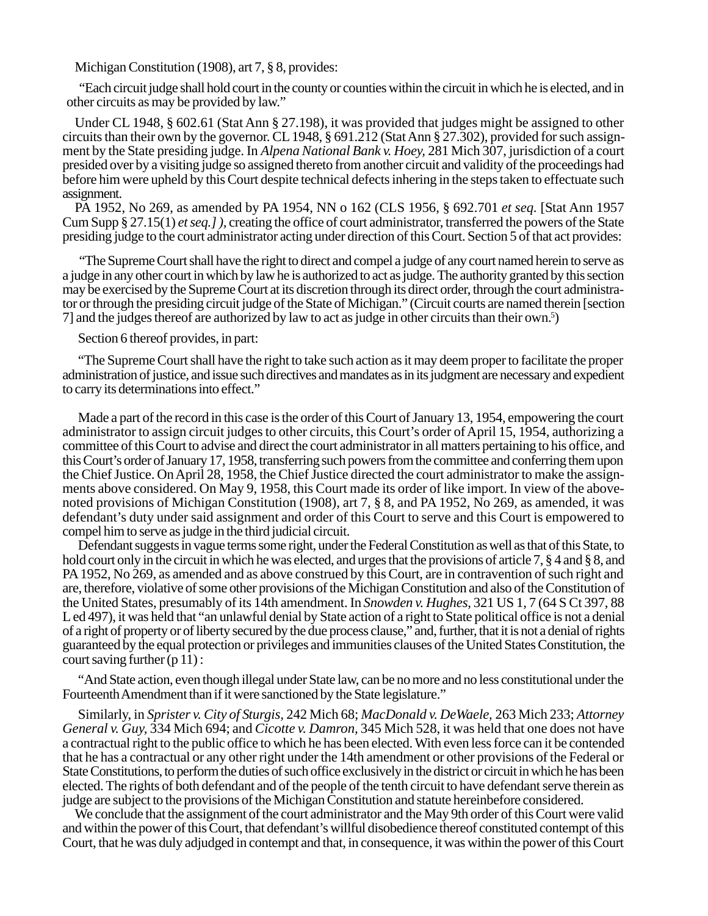Michigan Constitution (1908), art 7, § 8, provides:

"Each circuit judge shall hold court in the county or counties within the circuit in which he is elected, and in other circuits as may be provided by law."

Under CL 1948, § 602.61 (Stat Ann § 27.198), it was provided that judges might be assigned to other circuits than their own by the governor. CL 1948, § 691.212 (Stat Ann § 27.302), provided for such assignment by the State presiding judge. In *Alpena National Bank v. Hoey,* 281 Mich 307, jurisdiction of a court presided over by a visiting judge so assigned thereto from another circuit and validity of the proceedings had before him were upheld by this Court despite technical defects inhering in the steps taken to effectuate such assignment.

PA 1952, No 269, as amended by PA 1954, NN o 162 (CLS 1956, § 692.701 *et seq.* [Stat Ann 1957 Cum Supp § 27.15(1) *et seq.] ),* creating the office of court administrator, transferred the powers of the State presiding judge to the court administrator acting under direction of this Court. Section 5 of that act provides:

"The Supreme Court shall have the right to direct and compel a judge of any court named herein to serve as a judge in any other court in which by law he is authorized to act as judge. The authority granted by this section may be exercised by the Supreme Court at its discretion through its direct order, through the court administrator or through the presiding circuit judge of the State of Michigan." (Circuit courts are named therein [section 7] and the judges thereof are authorized by law to act as judge in other circuits than their own.5 )

Section 6 thereof provides, in part:

"The Supreme Court shall have the right to take such action as it may deem proper to facilitate the proper administration of justice, and issue such directives and mandates as in its judgment are necessary and expedient to carry its determinations into effect."

Made a part of the record in this case is the order of this Court of January 13, 1954, empowering the court administrator to assign circuit judges to other circuits, this Court's order of April 15, 1954, authorizing a committee of this Court to advise and direct the court administrator in all matters pertaining to his office, and this Court's order of January 17, 1958, transferring such powers from the committee and conferring them upon the Chief Justice. On April 28, 1958, the Chief Justice directed the court administrator to make the assignments above considered. On May 9, 1958, this Court made its order of like import. In view of the abovenoted provisions of Michigan Constitution (1908), art 7, § 8, and PA 1952, No 269, as amended, it was defendant's duty under said assignment and order of this Court to serve and this Court is empowered to compel him to serve as judge in the third judicial circuit.

Defendant suggests in vague terms some right, under the Federal Constitution as well as that of this State, to hold court only in the circuit in which he was elected, and urges that the provisions of article 7, § 4 and § 8, and PA 1952, No 269, as amended and as above construed by this Court, are in contravention of such right and are, therefore, violative of some other provisions of the Michigan Constitution and also of the Constitution of the United States, presumably of its 14th amendment. In *Snowden v. Hughes,* 321 US 1, 7 (64 S Ct 397, 88 L ed 497), it was held that "an unlawful denial by State action of a right to State political office is not a denial of a right of property or of liberty secured by the due process clause," and, further, that it is not a denial of rights guaranteed by the equal protection or privileges and immunities clauses of the United States Constitution, the court saving further (p 11) :

"And State action, even though illegal under State law, can be no more and no less constitutional under the Fourteenth Amendment than if it were sanctioned by the State legislature."

Similarly, in *Sprister v. City of Sturgis,* 242 Mich 68; *MacDonald v. DeWaele,* 263 Mich 233; *Attorney General v. Guy,* 334 Mich 694; and *Cicotte v. Damron,* 345 Mich 528, it was held that one does not have a contractual right to the public office to which he has been elected. With even less force can it be contended that he has a contractual or any other right under the 14th amendment or other provisions of the Federal or State Constitutions, to perform the duties of such office exclusively in the district or circuit in which he has been elected. The rights of both defendant and of the people of the tenth circuit to have defendant serve therein as judge are subject to the provisions of the Michigan Constitution and statute hereinbefore considered.

We conclude that the assignment of the court administrator and the May 9th order of this Court were valid and within the power of this Court, that defendant's willful disobedience thereof constituted contempt of this Court, that he was duly adjudged in contempt and that, in consequence, it was within the power of this Court